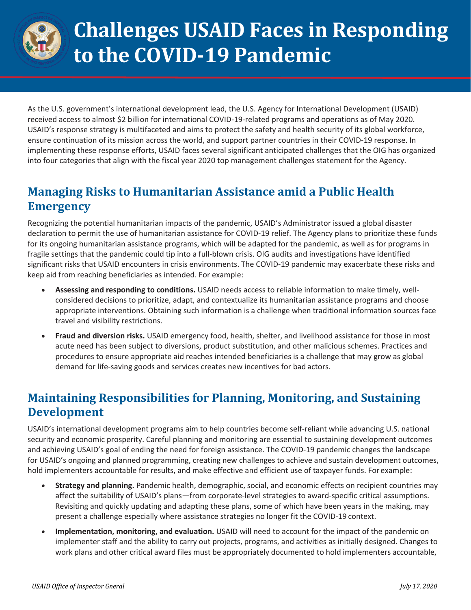

# **Challenges USAID Faces in Responding to the COVID-19 Pandemic**

As the U.S. government's international development lead, the U.S. Agency for International Development (USAID) received access to almost \$2 billion for international COVID-19-related programs and operations as of May 2020. USAID's response strategy is multifaceted and aims to protect the safety and health security of its global workforce, ensure continuation of its mission across the world, and support partner countries in their COVID-19 response. In implementing these response efforts, USAID faces several significant anticipated challenges that the OIG has organized into four categories that align with the fiscal year 2020 top management challenges statement for the Agency.

## **Managing Risks to Humanitarian Assistance amid a Public Health Emergency**

Recognizing the potential humanitarian impacts of the pandemic, USAID's Administrator issued a global disaster declaration to permit the use of humanitarian assistance for COVID-19 relief. The Agency plans to prioritize these funds for its ongoing humanitarian assistance programs, which will be adapted for the pandemic, as well as for programs in fragile settings that the pandemic could tip into a full-blown crisis. OIG audits and investigations have identified significant risks that USAID encounters in crisis environments. The COVID-19 pandemic may exacerbate these risks and keep aid from reaching beneficiaries as intended. For example:

- **Assessing and responding to conditions.** USAID needs access to reliable information to make timely, wellconsidered decisions to prioritize, adapt, and contextualize its humanitarian assistance programs and choose appropriate interventions. Obtaining such information is a challenge when traditional information sources face travel and visibility restrictions.
- **Fraud and diversion risks.** USAID emergency food, health, shelter, and livelihood assistance for those in most acute need has been subject to diversions, product substitution, and other malicious schemes. Practices and procedures to ensure appropriate aid reaches intended beneficiaries is a challenge that may grow as global demand for life-saving goods and services creates new incentives for bad actors.

# **Maintaining Responsibilities for Planning, Monitoring, and Sustaining Development**

USAID's international development programs aim to help countries become self-reliant while advancing U.S. national security and economic prosperity. Careful planning and monitoring are essential to sustaining development outcomes and achieving USAID's goal of ending the need for foreign assistance. The COVID-19 pandemic changes the landscape for USAID's ongoing and planned programming, creating new challenges to achieve and sustain development outcomes, hold implementers accountable for results, and make effective and efficient use of taxpayer funds. For example:

- **Strategy and planning.** Pandemic health, demographic, social, and economic effects on recipient countries may affect the suitability of USAID's plans—from corporate-level strategies to award-specific critical assumptions. Revisiting and quickly updating and adapting these plans, some of which have been years in the making, may present a challenge especially where assistance strategies no longer fit the COVID-19 context.
- **Implementation, monitoring, and evaluation.** USAID will need to account for the impact of the pandemic on implementer staff and the ability to carry out projects, programs, and activities as initially designed. Changes to work plans and other critical award files must be appropriately documented to hold implementers accountable,